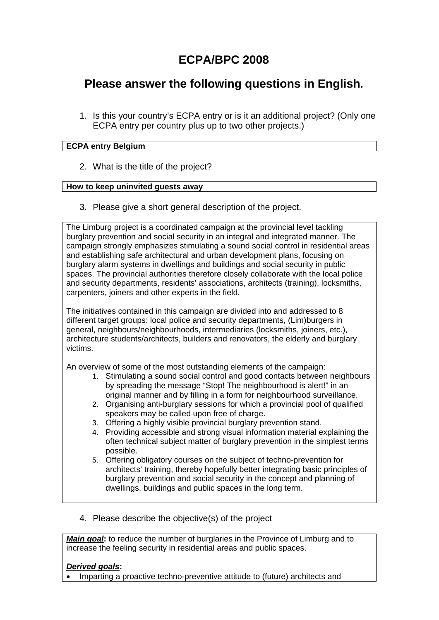# **ECPA/BPC 2008**

## **Please answer the following questions in English.**

1. Is this your country's ECPA entry or is it an additional project? (Only one ECPA entry per country plus up to two other projects.)

#### **ECPA entry Belgium**

2. What is the title of the project?

#### **How to keep uninvited guests away**

3. Please give a short general description of the project.

The Limburg project is a coordinated campaign at the provincial level tackling burglary prevention and social security in an integral and integrated manner. The campaign strongly emphasizes stimulating a sound social control in residential areas and establishing safe architectural and urban development plans, focusing on burglary alarm systems in dwellings and buildings and social security in public spaces. The provincial authorities therefore closely collaborate with the local police and security departments, residents' associations, architects (training), locksmiths, carpenters, joiners and other experts in the field.

The initiatives contained in this campaign are divided into and addressed to 8 different target groups: local police and security departments, (Lim)burgers in general, neighbours/neighbourhoods, intermediaries (locksmiths, joiners, etc.), architecture students/architects, builders and renovators, the elderly and burglary victims.

An overview of some of the most outstanding elements of the campaign:

- 1. Stimulating a sound social control and good contacts between neighbours by spreading the message "Stop! The neighbourhood is alert!" in an original manner and by filling in a form for neighbourhood surveillance.
- 2. Organising anti-burglary sessions for which a provincial pool of qualified speakers may be called upon free of charge.
- 3. Offering a highly visible provincial burglary prevention stand.
- 4. Providing accessible and strong visual information material explaining the often technical subject matter of burglary prevention in the simplest terms possible.
- 5. Offering obligatory courses on the subject of techno-prevention for architects' training, thereby hopefully better integrating basic principles of burglary prevention and social security in the concept and planning of dwellings, buildings and public spaces in the long term.
- 4. Please describe the objective(s) of the project

*Main goal***:** to reduce the number of burglaries in the Province of Limburg and to increase the feeling security in residential areas and public spaces.

#### *Derived goals***:**

• Imparting a proactive techno-preventive attitude to (future) architects and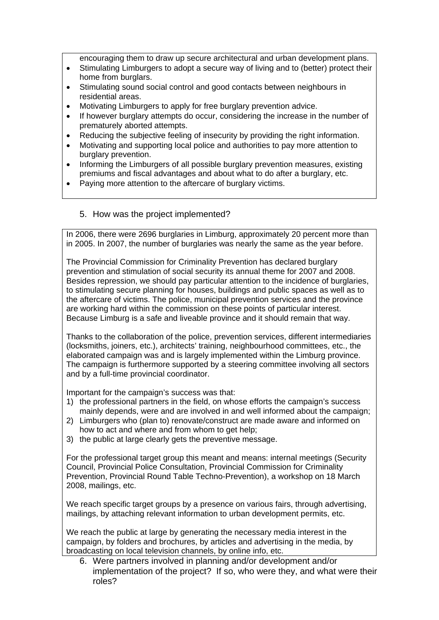encouraging them to draw up secure architectural and urban development plans.

- Stimulating Limburgers to adopt a secure way of living and to (better) protect their home from burglars.
- Stimulating sound social control and good contacts between neighbours in residential areas.
- Motivating Limburgers to apply for free burglary prevention advice.
- If however burglary attempts do occur, considering the increase in the number of prematurely aborted attempts.
- Reducing the subjective feeling of insecurity by providing the right information.
- Motivating and supporting local police and authorities to pay more attention to burglary prevention.
- Informing the Limburgers of all possible burglary prevention measures, existing premiums and fiscal advantages and about what to do after a burglary, etc.
- Paying more attention to the aftercare of burglary victims.

## 5. How was the project implemented?

In 2006, there were 2696 burglaries in Limburg, approximately 20 percent more than in 2005. In 2007, the number of burglaries was nearly the same as the year before.

The Provincial Commission for Criminality Prevention has declared burglary prevention and stimulation of social security its annual theme for 2007 and 2008. Besides repression, we should pay particular attention to the incidence of burglaries, to stimulating secure planning for houses, buildings and public spaces as well as to the aftercare of victims. The police, municipal prevention services and the province are working hard within the commission on these points of particular interest. Because Limburg is a safe and liveable province and it should remain that way.

Thanks to the collaboration of the police, prevention services, different intermediaries (locksmiths, joiners, etc.), architects' training, neighbourhood committees, etc., the elaborated campaign was and is largely implemented within the Limburg province. The campaign is furthermore supported by a steering committee involving all sectors and by a full-time provincial coordinator.

Important for the campaign's success was that:

- 1) the professional partners in the field, on whose efforts the campaign's success mainly depends, were and are involved in and well informed about the campaign;
- 2) Limburgers who (plan to) renovate/construct are made aware and informed on how to act and where and from whom to get help;
- 3) the public at large clearly gets the preventive message.

For the professional target group this meant and means: internal meetings (Security Council, Provincial Police Consultation, Provincial Commission for Criminality Prevention, Provincial Round Table Techno-Prevention), a workshop on 18 March 2008, mailings, etc.

We reach specific target groups by a presence on various fairs, through advertising, mailings, by attaching relevant information to urban development permits, etc.

We reach the public at large by generating the necessary media interest in the campaign, by folders and brochures, by articles and advertising in the media, by broadcasting on local television channels, by online info, etc.

6. Were partners involved in planning and/or development and/or implementation of the project? If so, who were they, and what were their roles?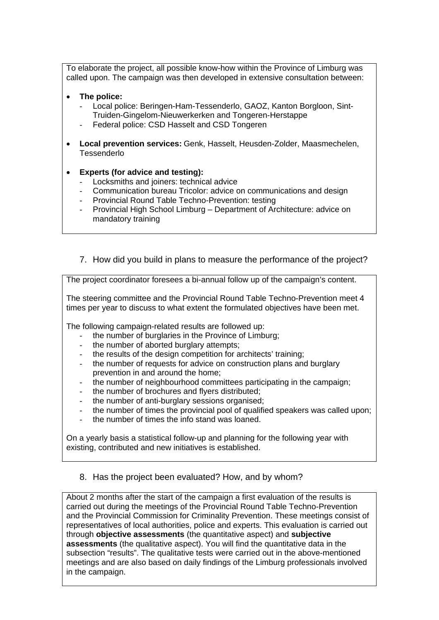To elaborate the project, all possible know-how within the Province of Limburg was called upon. The campaign was then developed in extensive consultation between:

- **The police:**
	- Local police: Beringen-Ham-Tessenderlo, GAOZ, Kanton Borgloon, Sint-Truiden-Gingelom-Nieuwerkerken and Tongeren-Herstappe
	- Federal police: CSD Hasselt and CSD Tongeren
- **Local prevention services:** Genk, Hasselt, Heusden-Zolder, Maasmechelen, **Tessenderlo**
- **Experts (for advice and testing):**
	- Locksmiths and joiners: technical advice
	- Communication bureau Tricolor: advice on communications and design
	- Provincial Round Table Techno-Prevention: testing
	- Provincial High School Limburg Department of Architecture: advice on mandatory training
	- 7. How did you build in plans to measure the performance of the project?

The project coordinator foresees a bi-annual follow up of the campaign's content.

The steering committee and the Provincial Round Table Techno-Prevention meet 4 times per year to discuss to what extent the formulated objectives have been met.

The following campaign-related results are followed up:

- the number of burglaries in the Province of Limburg;
- the number of aborted burglary attempts:
- the results of the design competition for architects' training;
- the number of requests for advice on construction plans and burglary prevention in and around the home;
- the number of neighbourhood committees participating in the campaign:
- the number of brochures and flyers distributed;
- the number of anti-burglary sessions organised;
- the number of times the provincial pool of qualified speakers was called upon;
- the number of times the info stand was loaned.

On a yearly basis a statistical follow-up and planning for the following year with existing, contributed and new initiatives is established.

8. Has the project been evaluated? How, and by whom?

About 2 months after the start of the campaign a first evaluation of the results is carried out during the meetings of the Provincial Round Table Techno-Prevention and the Provincial Commission for Criminality Prevention. These meetings consist of representatives of local authorities, police and experts. This evaluation is carried out through **objective assessments** (the quantitative aspect) and **subjective assessments** (the qualitative aspect). You will find the quantitative data in the subsection "results". The qualitative tests were carried out in the above-mentioned meetings and are also based on daily findings of the Limburg professionals involved in the campaign.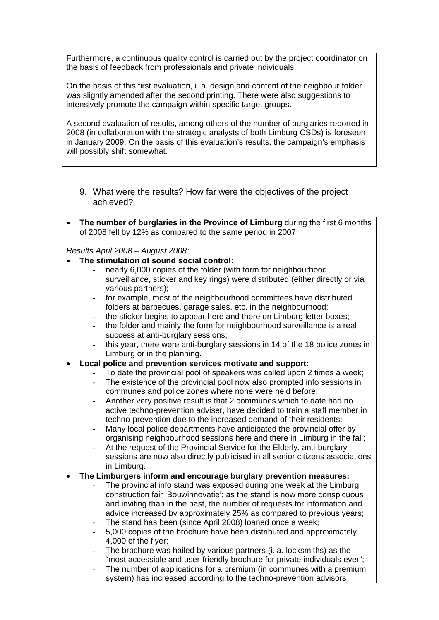Furthermore, a continuous quality control is carried out by the project coordinator on the basis of feedback from professionals and private individuals.

On the basis of this first evaluation, i. a. design and content of the neighbour folder was slightly amended after the second printing. There were also suggestions to intensively promote the campaign within specific target groups.

A second evaluation of results, among others of the number of burglaries reported in 2008 (in collaboration with the strategic analysts of both Limburg CSDs) is foreseen in January 2009. On the basis of this evaluation's results, the campaign's emphasis will possibly shift somewhat.

- 9. What were the results? How far were the objectives of the project achieved?
- **The number of burglaries in the Province of Limburg during the first 6 months** of 2008 fell by 12% as compared to the same period in 2007.

*Results April 2008 – August 2008:* 

- **The stimulation of sound social control:**
	- nearly 6,000 copies of the folder (with form for neighbourhood surveillance, sticker and key rings) were distributed (either directly or via various partners);
	- for example, most of the neighbourhood committees have distributed folders at barbecues, garage sales, etc. in the neighbourhood;
	- the sticker begins to appear here and there on Limburg letter boxes;
	- the folder and mainly the form for neighbourhood surveillance is a real success at anti-burglary sessions;
	- this year, there were anti-burglary sessions in 14 of the 18 police zones in Limburg or in the planning.
- **Local police and prevention services motivate and support:** 
	- To date the provincial pool of speakers was called upon 2 times a week;
	- The existence of the provincial pool now also prompted info sessions in communes and police zones where none were held before;
	- Another very positive result is that 2 communes which to date had no active techno-prevention adviser, have decided to train a staff member in techno-prevention due to the increased demand of their residents;
	- Many local police departments have anticipated the provincial offer by organising neighbourhood sessions here and there in Limburg in the fall;
	- At the request of the Provincial Service for the Elderly, anti-burglary sessions are now also directly publicised in all senior citizens associations in Limburg.

#### • **The Limburgers inform and encourage burglary prevention measures:**

- The provincial info stand was exposed during one week at the Limburg construction fair 'Bouwinnovatie'; as the stand is now more conspicuous and inviting than in the past, the number of requests for information and advice increased by approximately 25% as compared to previous years;
- The stand has been (since April 2008) loaned once a week:
- 5,000 copies of the brochure have been distributed and approximately 4,000 of the flyer;
- The brochure was hailed by various partners (i. a. locksmiths) as the "most accessible and user-friendly brochure for private individuals ever";
- The number of applications for a premium (in communes with a premium system) has increased according to the techno-prevention advisors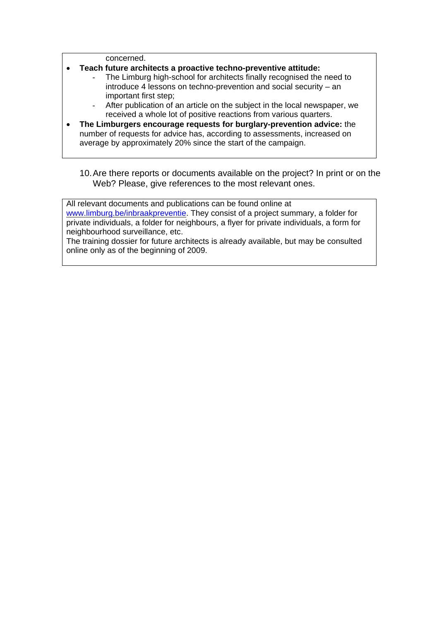concerned.

- **Teach future architects a proactive techno-preventive attitude:** 
	- The Limburg high-school for architects finally recognised the need to introduce 4 lessons on techno-prevention and social security – an important first step;
	- After publication of an article on the subject in the local newspaper, we received a whole lot of positive reactions from various quarters.
- **The Limburgers encourage requests for burglary-prevention advice:** the number of requests for advice has, according to assessments, increased on average by approximately 20% since the start of the campaign.
	- 10. Are there reports or documents available on the project? In print or on the Web? Please, give references to the most relevant ones.

All relevant documents and publications can be found online at [www.limburg.be/inbraakpreventie.](http://www.limburg.be/inbraakpreventie) They consist of a project summary, a folder for private individuals, a folder for neighbours, a flyer for private individuals, a form for neighbourhood surveillance, etc.

The training dossier for future architects is already available, but may be consulted online only as of the beginning of 2009.